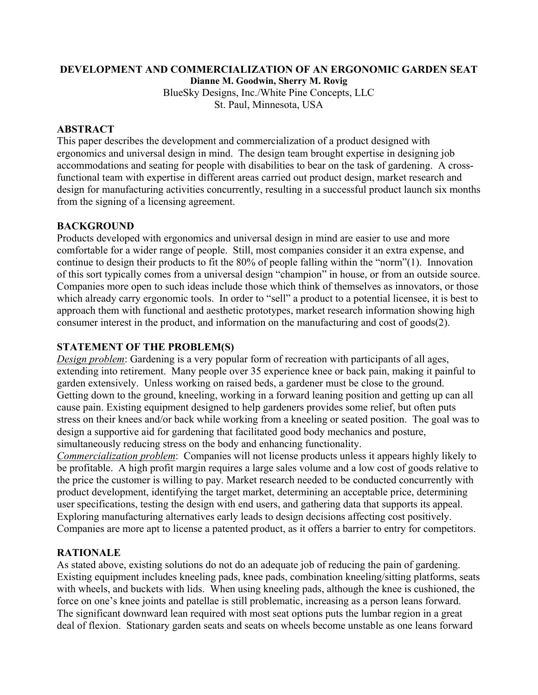#### **DEVELOPMENT AND COMMERCIALIZATION OF AN ERGONOMIC GARDEN SEAT**

**Dianne M. Goodwin, Sherry M. Rovig** 

BlueSky Designs, Inc./White Pine Concepts, LLC St. Paul, Minnesota, USA

#### **ABSTRACT**

This paper describes the development and commercialization of a product designed with ergonomics and universal design in mind. The design team brought expertise in designing job accommodations and seating for people with disabilities to bear on the task of gardening. A crossfunctional team with expertise in different areas carried out product design, market research and design for manufacturing activities concurrently, resulting in a successful product launch six months from the signing of a licensing agreement.

#### **BACKGROUND**

Products developed with ergonomics and universal design in mind are easier to use and more comfortable for a wider range of people. Still, most companies consider it an extra expense, and continue to design their products to fit the 80% of people falling within the "norm"(1). Innovation of this sort typically comes from a universal design "champion" in house, or from an outside source. Companies more open to such ideas include those which think of themselves as innovators, or those which already carry ergonomic tools. In order to "sell" a product to a potential licensee, it is best to approach them with functional and aesthetic prototypes, market research information showing high consumer interest in the product, and information on the manufacturing and cost of goods(2).

#### **STATEMENT OF THE PROBLEM(S)**

*Design problem*: Gardening is a very popular form of recreation with participants of all ages, extending into retirement. Many people over 35 experience knee or back pain, making it painful to garden extensively. Unless working on raised beds, a gardener must be close to the ground. Getting down to the ground, kneeling, working in a forward leaning position and getting up can all cause pain. Existing equipment designed to help gardeners provides some relief, but often puts stress on their knees and/or back while working from a kneeling or seated position. The goal was to design a supportive aid for gardening that facilitated good body mechanics and posture, simultaneously reducing stress on the body and enhancing functionality.

*Commercialization problem*: Companies will not license products unless it appears highly likely to be profitable. A high profit margin requires a large sales volume and a low cost of goods relative to the price the customer is willing to pay. Market research needed to be conducted concurrently with product development, identifying the target market, determining an acceptable price, determining user specifications, testing the design with end users, and gathering data that supports its appeal. Exploring manufacturing alternatives early leads to design decisions affecting cost positively. Companies are more apt to license a patented product, as it offers a barrier to entry for competitors.

## **RATIONALE**

As stated above, existing solutions do not do an adequate job of reducing the pain of gardening. Existing equipment includes kneeling pads, knee pads, combination kneeling/sitting platforms, seats with wheels, and buckets with lids. When using kneeling pads, although the knee is cushioned, the force on one's knee joints and patellae is still problematic, increasing as a person leans forward. The significant downward lean required with most seat options puts the lumbar region in a great deal of flexion. Stationary garden seats and seats on wheels become unstable as one leans forward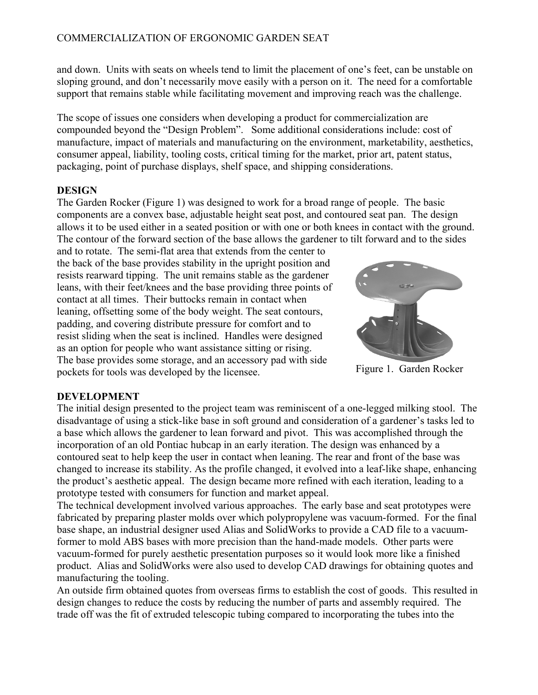# COMMERCIALIZATION OF ERGONOMIC GARDEN SEAT

and down. Units with seats on wheels tend to limit the placement of one's feet, can be unstable on sloping ground, and don't necessarily move easily with a person on it. The need for a comfortable support that remains stable while facilitating movement and improving reach was the challenge.

The scope of issues one considers when developing a product for commercialization are compounded beyond the "Design Problem". Some additional considerations include: cost of manufacture, impact of materials and manufacturing on the environment, marketability, aesthetics, consumer appeal, liability, tooling costs, critical timing for the market, prior art, patent status, packaging, point of purchase displays, shelf space, and shipping considerations.

## **DESIGN**

The Garden Rocker (Figure 1) was designed to work for a broad range of people. The basic components are a convex base, adjustable height seat post, and contoured seat pan. The design allows it to be used either in a seated position or with one or both knees in contact with the ground. The contour of the forward section of the base allows the gardener to tilt forward and to the sides

and to rotate. The semi-flat area that extends from the center to the back of the base provides stability in the upright position and resists rearward tipping. The unit remains stable as the gardener leans, with their feet/knees and the base providing three points of contact at all times. Their buttocks remain in contact when leaning, offsetting some of the body weight. The seat contours, padding, and covering distribute pressure for comfort and to resist sliding when the seat is inclined. Handles were designed as an option for people who want assistance sitting or rising. The base provides some storage, and an accessory pad with side pockets for tools was developed by the licensee.



Figure 1. Garden Rocker

## **DEVELOPMENT**

The initial design presented to the project team was reminiscent of a one-legged milking stool. The disadvantage of using a stick-like base in soft ground and consideration of a gardener's tasks led to a base which allows the gardener to lean forward and pivot. This was accomplished through the incorporation of an old Pontiac hubcap in an early iteration. The design was enhanced by a contoured seat to help keep the user in contact when leaning. The rear and front of the base was changed to increase its stability. As the profile changed, it evolved into a leaf-like shape, enhancing the product's aesthetic appeal. The design became more refined with each iteration, leading to a prototype tested with consumers for function and market appeal.

The technical development involved various approaches. The early base and seat prototypes were fabricated by preparing plaster molds over which polypropylene was vacuum-formed. For the final base shape, an industrial designer used Alias and SolidWorks to provide a CAD file to a vacuumformer to mold ABS bases with more precision than the hand-made models. Other parts were vacuum-formed for purely aesthetic presentation purposes so it would look more like a finished product. Alias and SolidWorks were also used to develop CAD drawings for obtaining quotes and manufacturing the tooling.

An outside firm obtained quotes from overseas firms to establish the cost of goods. This resulted in design changes to reduce the costs by reducing the number of parts and assembly required. The trade off was the fit of extruded telescopic tubing compared to incorporating the tubes into the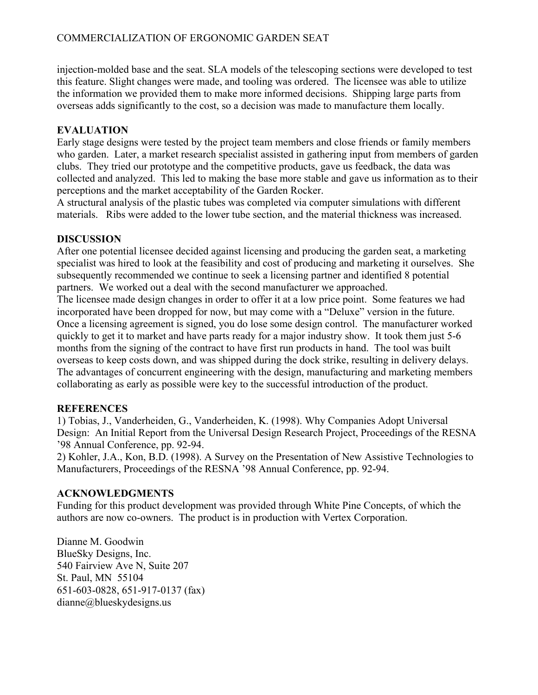# COMMERCIALIZATION OF ERGONOMIC GARDEN SEAT

injection-molded base and the seat. SLA models of the telescoping sections were developed to test this feature. Slight changes were made, and tooling was ordered. The licensee was able to utilize the information we provided them to make more informed decisions. Shipping large parts from overseas adds significantly to the cost, so a decision was made to manufacture them locally.

## **EVALUATION**

Early stage designs were tested by the project team members and close friends or family members who garden. Later, a market research specialist assisted in gathering input from members of garden clubs. They tried our prototype and the competitive products, gave us feedback, the data was collected and analyzed. This led to making the base more stable and gave us information as to their perceptions and the market acceptability of the Garden Rocker.

A structural analysis of the plastic tubes was completed via computer simulations with different materials. Ribs were added to the lower tube section, and the material thickness was increased.

## **DISCUSSION**

After one potential licensee decided against licensing and producing the garden seat, a marketing specialist was hired to look at the feasibility and cost of producing and marketing it ourselves. She subsequently recommended we continue to seek a licensing partner and identified 8 potential partners. We worked out a deal with the second manufacturer we approached.

The licensee made design changes in order to offer it at a low price point. Some features we had incorporated have been dropped for now, but may come with a "Deluxe" version in the future. Once a licensing agreement is signed, you do lose some design control. The manufacturer worked quickly to get it to market and have parts ready for a major industry show. It took them just 5-6 months from the signing of the contract to have first run products in hand. The tool was built overseas to keep costs down, and was shipped during the dock strike, resulting in delivery delays. The advantages of concurrent engineering with the design, manufacturing and marketing members collaborating as early as possible were key to the successful introduction of the product.

## **REFERENCES**

1) Tobias, J., Vanderheiden, G., Vanderheiden, K. (1998). Why Companies Adopt Universal Design: An Initial Report from the Universal Design Research Project, Proceedings of the RESNA '98 Annual Conference, pp. 92-94.

2) Kohler, J.A., Kon, B.D. (1998). A Survey on the Presentation of New Assistive Technologies to Manufacturers, Proceedings of the RESNA '98 Annual Conference, pp. 92-94.

## **ACKNOWLEDGMENTS**

Funding for this product development was provided through White Pine Concepts, of which the authors are now co-owners. The product is in production with Vertex Corporation.

Dianne M. Goodwin BlueSky Designs, Inc. 540 Fairview Ave N, Suite 207 St. Paul, MN 55104 651-603-0828, 651-917-0137 (fax) dianne@blueskydesigns.us